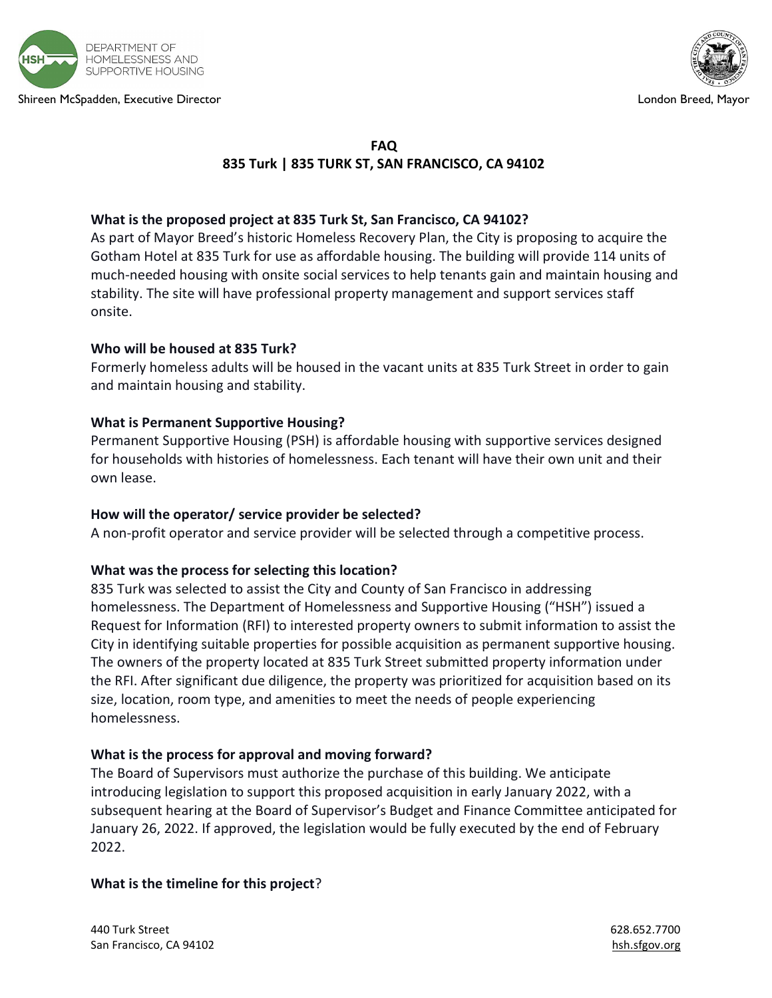

Shireen McSpadden, Executive Director London Breed, Mayor



# FAQ 835 Turk | 835 TURK ST, SAN FRANCISCO, CA 94102

## What is the proposed project at 835 Turk St, San Francisco, CA 94102?

As part of Mayor Breed's historic Homeless Recovery Plan, the City is proposing to acquire the Gotham Hotel at 835 Turk for use as affordable housing. The building will provide 114 units of much-needed housing with onsite social services to help tenants gain and maintain housing and stability. The site will have professional property management and support services staff onsite.

#### Who will be housed at 835 Turk?

Formerly homeless adults will be housed in the vacant units at 835 Turk Street in order to gain and maintain housing and stability.

## What is Permanent Supportive Housing?

Permanent Supportive Housing (PSH) is affordable housing with supportive services designed for households with histories of homelessness. Each tenant will have their own unit and their own lease.

#### How will the operator/ service provider be selected?

A non-profit operator and service provider will be selected through a competitive process.

# What was the process for selecting this location?

835 Turk was selected to assist the City and County of San Francisco in addressing homelessness. The Department of Homelessness and Supportive Housing ("HSH") issued a Request for Information (RFI) to interested property owners to submit information to assist the City in identifying suitable properties for possible acquisition as permanent supportive housing. The owners of the property located at 835 Turk Street submitted property information under the RFI. After significant due diligence, the property was prioritized for acquisition based on its size, location, room type, and amenities to meet the needs of people experiencing homelessness.

#### What is the process for approval and moving forward?

The Board of Supervisors must authorize the purchase of this building. We anticipate introducing legislation to support this proposed acquisition in early January 2022, with a subsequent hearing at the Board of Supervisor's Budget and Finance Committee anticipated for January 26, 2022. If approved, the legislation would be fully executed by the end of February 2022.

#### What is the timeline for this project?